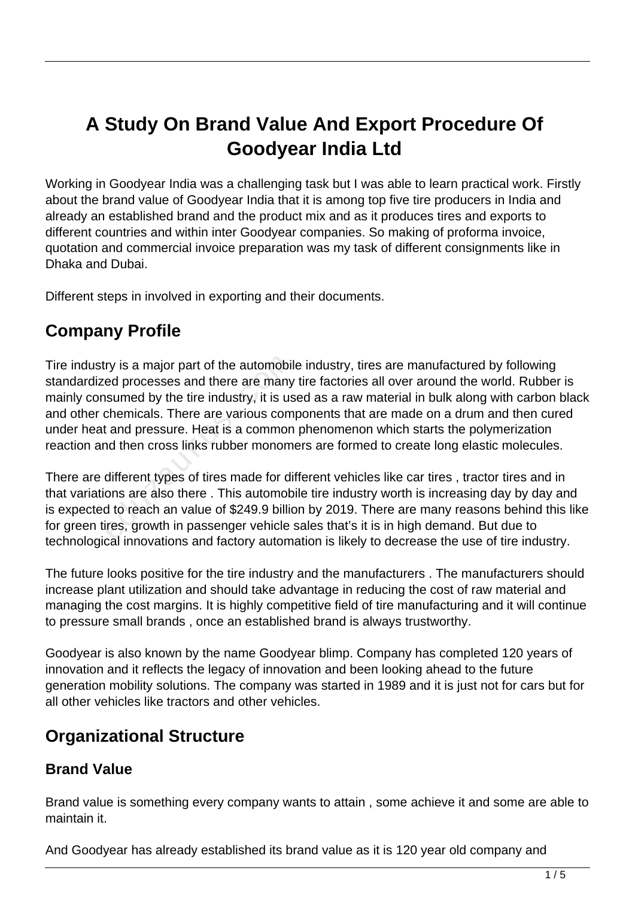# **A Study On Brand Value And Export Procedure Of Goodyear India Ltd**

Working in Goodyear India was a challenging task but I was able to learn practical work. Firstly about the brand value of Goodyear India that it is among top five tire producers in India and already an established brand and the product mix and as it produces tires and exports to different countries and within inter Goodyear companies. So making of proforma invoice, quotation and commercial invoice preparation was my task of different consignments like in Dhaka and Dubai.

Different steps in involved in exporting and their documents.

### **Company Profile**

Tire industry is a major part of the automobile industry, tires are manufactured by following standardized processes and there are many tire factories all over around the world. Rubber is mainly consumed by the tire industry, it is used as a raw material in bulk along with carbon black and other chemicals. There are various components that are made on a drum and then cured under heat and pressure. Heat is a common phenomenon which starts the polymerization reaction and then cross links rubber monomers are formed to create long elastic molecules. ry is a major part of the automobil<br>ed processes and there are many<br>isumed by the tire industry, it is us<br>chemicals. There are various com<br>t and pressure. Heat is a common<br>nd then cross links rubber monom<br>different types o

There are different types of tires made for different vehicles like car tires , tractor tires and in that variations are also there . This automobile tire industry worth is increasing day by day and is expected to reach an value of \$249.9 billion by 2019. There are many reasons behind this like for green tires, growth in passenger vehicle sales that's it is in high demand. But due to technological innovations and factory automation is likely to decrease the use of tire industry.

The future looks positive for the tire industry and the manufacturers . The manufacturers should increase plant utilization and should take advantage in reducing the cost of raw material and managing the cost margins. It is highly competitive field of tire manufacturing and it will continue to pressure small brands , once an established brand is always trustworthy.

Goodyear is also known by the name Goodyear blimp. Company has completed 120 years of innovation and it reflects the legacy of innovation and been looking ahead to the future generation mobility solutions. The company was started in 1989 and it is just not for cars but for all other vehicles like tractors and other vehicles.

### **Organizational Structure**

#### **Brand Value**

Brand value is something every company wants to attain , some achieve it and some are able to maintain it.

And Goodyear has already established its brand value as it is 120 year old company and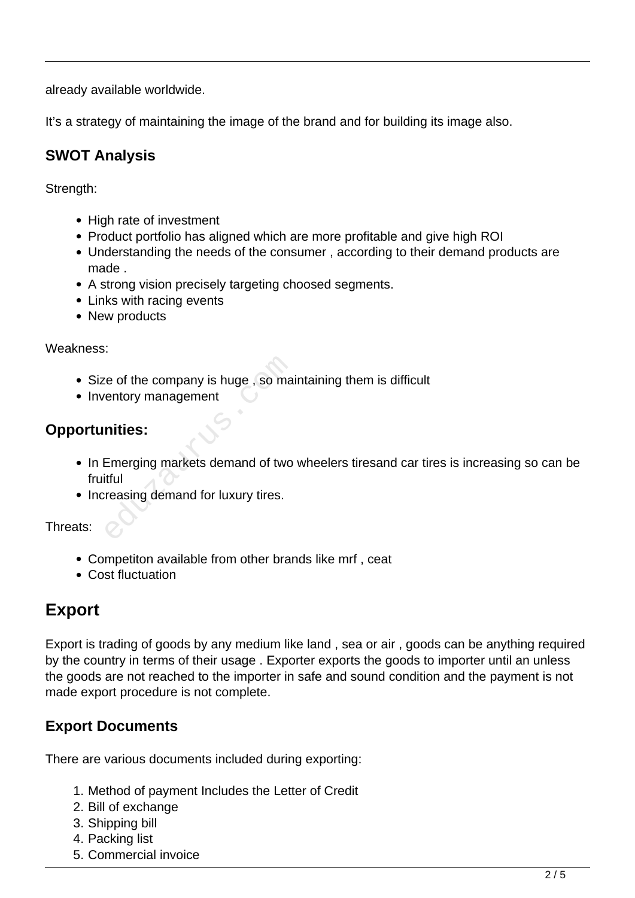already available worldwide.

It's a strategy of maintaining the image of the brand and for building its image also.

#### **SWOT Analysis**

Strength:

- High rate of investment
- Product portfolio has aligned which are more profitable and give high ROI
- Understanding the needs of the consumer , according to their demand products are made .
- A strong vision precisely targeting choosed segments.
- Links with racing events
- New products

Weakness:

- Size of the company is huge, so maintaining them is difficult
- Inventory management

#### **Opportunities:**

- In Emerging markets demand of two wheelers tiresand car tires is increasing so can be fruitful Example of the company is huge , so maternaty management<br> **nities:**<br>
Emerging markets demand of two<br>
tiful<br>
reasing demand for luxury tires.
- Increasing demand for luxury tires.

Threats:

- Competiton available from other brands like mrf , ceat
- Cost fluctuation

## **Export**

Export is trading of goods by any medium like land , sea or air , goods can be anything required by the country in terms of their usage . Exporter exports the goods to importer until an unless the goods are not reached to the importer in safe and sound condition and the payment is not made export procedure is not complete.

#### **Export Documents**

There are various documents included during exporting:

- 1. Method of payment Includes the Letter of Credit
- 2. Bill of exchange
- 3. Shipping bill
- 4. Packing list
- 5. Commercial invoice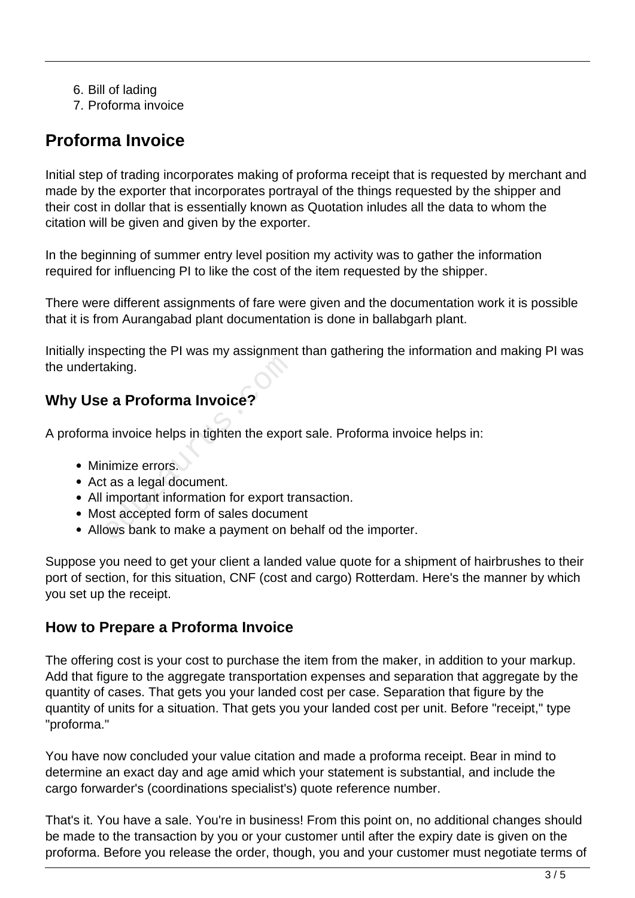6. Bill of lading

7. Proforma invoice

## **Proforma Invoice**

Initial step of trading incorporates making of proforma receipt that is requested by merchant and made by the exporter that incorporates portrayal of the things requested by the shipper and their cost in dollar that is essentially known as Quotation inludes all the data to whom the citation will be given and given by the exporter.

In the beginning of summer entry level position my activity was to gather the information required for influencing PI to like the cost of the item requested by the shipper.

There were different assignments of fare were given and the documentation work it is possible that it is from Aurangabad plant documentation is done in ballabgarh plant.

Initially inspecting the PI was my assignment than gathering the information and making PI was the undertaking. Example 1<br>
Example 1<br> **Example 12 Section 1 Section 1 Section 1 Section**<br> **Example 1 Section 1 Section 1 Section 1**<br> **Example 1 Section 1 Section 1 Section 1 Section 1**<br> **Example 1 Section 1 Section 1 Section 1 Section 1 S** 

#### **Why Use a Proforma Invoice?**

A proforma invoice helps in tighten the export sale. Proforma invoice helps in:

- Minimize errors.
- Act as a legal document.
- All important information for export transaction.
- Most accepted form of sales document
- Allows bank to make a payment on behalf od the importer.

Suppose you need to get your client a landed value quote for a shipment of hairbrushes to their port of section, for this situation, CNF (cost and cargo) Rotterdam. Here's the manner by which you set up the receipt.

#### **How to Prepare a Proforma Invoice**

The offering cost is your cost to purchase the item from the maker, in addition to your markup. Add that figure to the aggregate transportation expenses and separation that aggregate by the quantity of cases. That gets you your landed cost per case. Separation that figure by the quantity of units for a situation. That gets you your landed cost per unit. Before "receipt," type "proforma."

You have now concluded your value citation and made a proforma receipt. Bear in mind to determine an exact day and age amid which your statement is substantial, and include the cargo forwarder's (coordinations specialist's) quote reference number.

That's it. You have a sale. You're in business! From this point on, no additional changes should be made to the transaction by you or your customer until after the expiry date is given on the proforma. Before you release the order, though, you and your customer must negotiate terms of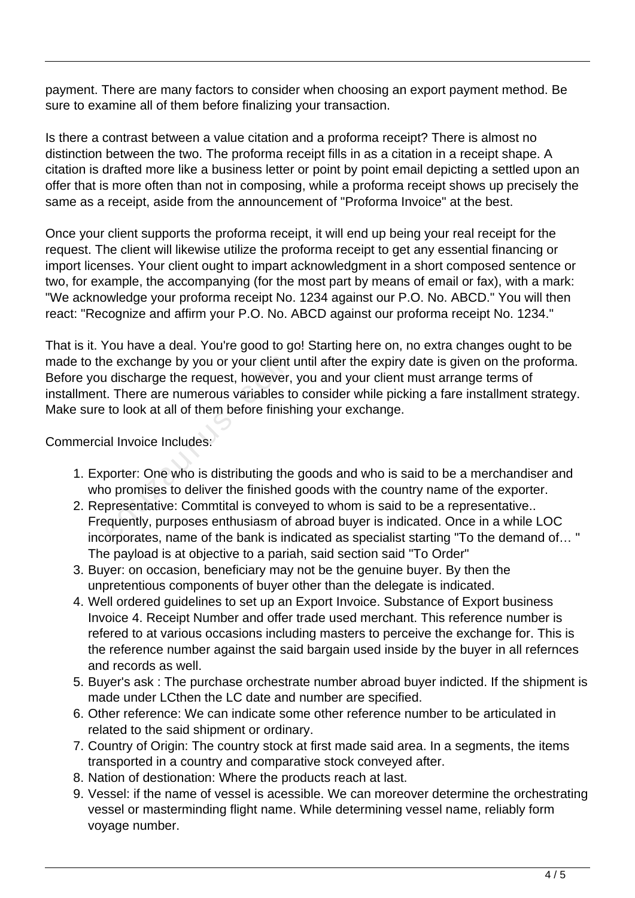payment. There are many factors to consider when choosing an export payment method. Be sure to examine all of them before finalizing your transaction.

Is there a contrast between a value citation and a proforma receipt? There is almost no distinction between the two. The proforma receipt fills in as a citation in a receipt shape. A citation is drafted more like a business letter or point by point email depicting a settled upon an offer that is more often than not in composing, while a proforma receipt shows up precisely the same as a receipt, aside from the announcement of "Proforma Invoice" at the best.

Once your client supports the proforma receipt, it will end up being your real receipt for the request. The client will likewise utilize the proforma receipt to get any essential financing or import licenses. Your client ought to impart acknowledgment in a short composed sentence or two, for example, the accompanying (for the most part by means of email or fax), with a mark: "We acknowledge your proforma receipt No. 1234 against our P.O. No. ABCD." You will then react: "Recognize and affirm your P.O. No. ABCD against our proforma receipt No. 1234."

That is it. You have a deal. You're good to go! Starting here on, no extra changes ought to be made to the exchange by you or your client until after the expiry date is given on the proforma. Before you discharge the request, however, you and your client must arrange terms of installment. There are numerous variables to consider while picking a fare installment strategy. Make sure to look at all of them before finishing your exchange. ide exchange by you or your client<br>a discharge the request, however,<br>i. There are numerous variables to<br>to look at all of them before finish<br>al Invoice Includes:<br>porter: One who is distributing the<br>o promises to deliver th

#### Commercial Invoice Includes:

- 1. Exporter: One who is distributing the goods and who is said to be a merchandiser and who promises to deliver the finished goods with the country name of the exporter.
- 2. Representative: Commtital is conveyed to whom is said to be a representative.. Frequently, purposes enthusiasm of abroad buyer is indicated. Once in a while LOC incorporates, name of the bank is indicated as specialist starting "To the demand of… " The payload is at objective to a pariah, said section said "To Order"
- 3. Buyer: on occasion, beneficiary may not be the genuine buyer. By then the unpretentious components of buyer other than the delegate is indicated.
- 4. Well ordered guidelines to set up an Export Invoice. Substance of Export business Invoice 4. Receipt Number and offer trade used merchant. This reference number is refered to at various occasions including masters to perceive the exchange for. This is the reference number against the said bargain used inside by the buyer in all refernces and records as well.
- 5. Buyer's ask : The purchase orchestrate number abroad buyer indicted. If the shipment is made under LCthen the LC date and number are specified.
- 6. Other reference: We can indicate some other reference number to be articulated in related to the said shipment or ordinary.
- 7. Country of Origin: The country stock at first made said area. In a segments, the items transported in a country and comparative stock conveyed after.
- 8. Nation of destionation: Where the products reach at last.
- 9. Vessel: if the name of vessel is acessible. We can moreover determine the orchestrating vessel or masterminding flight name. While determining vessel name, reliably form voyage number.